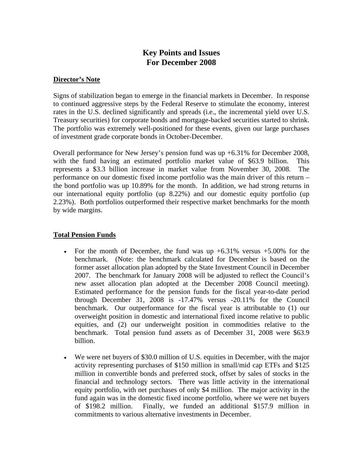# **Key Points and Issues For December 2008**

#### **Director's Note**

Signs of stabilization began to emerge in the financial markets in December. In response to continued aggressive steps by the Federal Reserve to stimulate the economy, interest rates in the U.S. declined significantly and spreads (i.e., the incremental yield over U.S. Treasury securities) for corporate bonds and mortgage-backed securities started to shrink. The portfolio was extremely well-positioned for these events, given our large purchases of investment grade corporate bonds in October-December.

Overall performance for New Jersey's pension fund was up +6.31% for December 2008, with the fund having an estimated portfolio market value of \$63.9 billion. This represents a \$3.3 billion increase in market value from November 30, 2008. The performance on our domestic fixed income portfolio was the main driver of this return – the bond portfolio was up 10.89% for the month. In addition, we had strong returns in our international equity portfolio (up 8.22%) and our domestic equity portfolio (up 2.23%). Both portfolios outperformed their respective market benchmarks for the month by wide margins.

## **Total Pension Funds**

- For the month of December, the fund was up  $+6.31\%$  versus  $+5.00\%$  for the benchmark. (Note: the benchmark calculated for December is based on the former asset allocation plan adopted by the State Investment Council in December 2007. The benchmark for January 2008 will be adjusted to reflect the Council's new asset allocation plan adopted at the December 2008 Council meeting). Estimated performance for the pension funds for the fiscal year-to-date period through December 31, 2008 is -17.47% versus -20.11% for the Council benchmark. Our outperformance for the fiscal year is attributable to (1) our overweight position in domestic and international fixed income relative to public equities, and (2) our underweight position in commodities relative to the benchmark. Total pension fund assets as of December 31, 2008 were \$63.9 billion.
- We were net buyers of \$30.0 million of U.S. equities in December, with the major activity representing purchases of \$150 million in small/mid cap ETFs and \$125 million in convertible bonds and preferred stock, offset by sales of stocks in the financial and technology sectors. There was little activity in the international equity portfolio, with net purchases of only \$4 million. The major activity in the fund again was in the domestic fixed income portfolio, where we were net buyers of \$198.2 million. Finally, we funded an additional \$157.9 million in commitments to various alternative investments in December.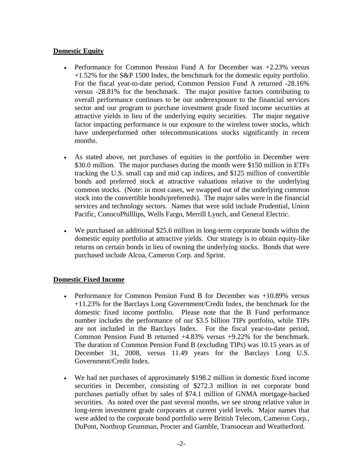## **Domestic Equity**

- Performance for Common Pension Fund A for December was  $+2.23\%$  versus +1.52% for the S&P 1500 Index, the benchmark for the domestic equity portfolio. For the fiscal year-to-date period, Common Pension Fund A returned -28.16% versus -28.81% for the benchmark. The major positive factors contributing to overall performance continues to be our underexposure to the financial services sector and our program to purchase investment grade fixed income securities at attractive yields in lieu of the underlying equity securities. The major negative factor impacting performance is our exposure to the wireless tower stocks, which have underperformed other telecommunications stocks significantly in recent months.
- As stated above, net purchases of equities in the portfolio in December were \$30.0 million. The major purchases during the month were \$150 million in ETFs tracking the U.S. small cap and mid cap indices, and \$125 million of convertible bonds and preferred stock at attractive valuations relative to the underlying common stocks. (Note: in most cases, we swapped out of the underlying common stock into the convertible bonds/preferreds). The major sales were in the financial services and technology sectors. Names that were sold include Prudential, Union Pacific, ConocoPhilllips, Wells Fargo, Merrill Lynch, and General Electric.
- We purchased an additional \$25.6 million in long-term corporate bonds within the domestic equity portfolio at attractive yields. Our strategy is to obtain equity-like returns on certain bonds in lieu of owning the underlying stocks. Bonds that were purchased include Alcoa, Cameron Corp. and Sprint.

#### **Domestic Fixed Income**

- Performance for Common Pension Fund B for December was +10.89% versus +11.23% for the Barclays Long Government/Credit Index, the benchmark for the domestic fixed income portfolio. Please note that the B Fund performance number includes the performance of our \$3.5 billion TIPs portfolio, while TIPs are not included in the Barclays Index. For the fiscal year-to-date period, Common Pension Fund B returned +4.83% versus +9.22% for the benchmark. The duration of Common Pension Fund B (excluding TIPs) was 10.15 years as of December 31, 2008, versus 11.49 years for the Barclays Long U.S. Government/Credit Index.
- We had net purchases of approximately \$198.2 million in domestic fixed income securities in December, consisting of \$272.3 million in net corporate bond purchases partially offset by sales of \$74.1 million of GNMA mortgage-backed securities. As noted over the past several months, we see strong relative value in long-term investment grade corporates at current yield levels. Major names that were added to the corporate bond portfolio were British Telecom, Cameron Corp., DuPont, Northrop Grumman, Procter and Gamble, Transocean and Weatherford.